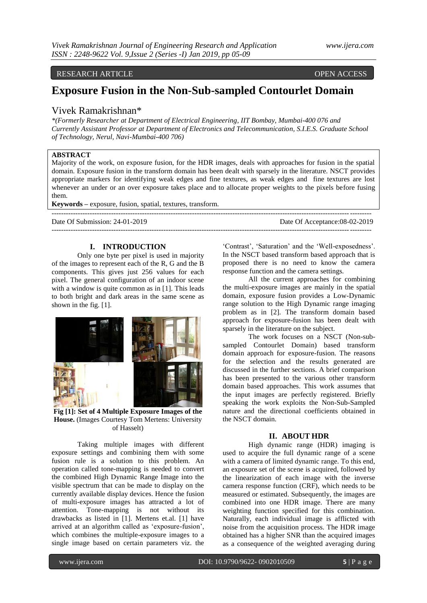## RESEARCH ARTICLE OPEN ACCESS

# **Exposure Fusion in the Non-Sub-sampled Contourlet Domain**

# Vivek Ramakrishnan\*

*\*(Formerly Researcher at Department of Electrical Engineering, IIT Bombay, Mumbai-400 076 and Currently Assistant Professor at Department of Electronics and Telecommunication, S.I.E.S. Graduate School of Technology, Nerul, Navi-Mumbai-400 706)*

# **ABSTRACT**

Majority of the work, on exposure fusion, for the HDR images, deals with approaches for fusion in the spatial domain. Exposure fusion in the transform domain has been dealt with sparsely in the literature. NSCT provides appropriate markers for identifying weak edges and fine textures, as weak edges and fine textures are lost whenever an under or an over exposure takes place and to allocate proper weights to the pixels before fusing them.

--------------------------------------------------------------------------------------------------------------------------------------

**Keywords –** exposure, fusion, spatial, textures, transform.

Date Of Submission: 24-01-2019 Date Of Acceptance:08-02-2019 --------------------------------------------------------------------------------------------------------------------------------------

### **I. INTRODUCTION**

Only one byte per pixel is used in majority of the images to represent each of the R, G and the B components. This gives just 256 values for each pixel. The general configuration of an indoor scene with a window is quite common as in [1]. This leads to both bright and dark areas in the same scene as shown in the fig. [1].



**Fig [1]: Set of 4 Multiple Exposure Images of the House.** (Images Courtesy Tom Mertens: University of Hasselt)

Taking multiple images with different exposure settings and combining them with some fusion rule is a solution to this problem. An operation called tone-mapping is needed to convert the combined High Dynamic Range Image into the visible spectrum that can be made to display on the currently available display devices. Hence the fusion of multi-exposure images has attracted a lot of attention. Tone-mapping is not without its drawbacks as listed in [1]. Mertens et.al. [1] have arrived at an algorithm called as "exposure-fusion", which combines the multiple-exposure images to a single image based on certain parameters viz. the

'Contrast', 'Saturation' and the 'Well-exposedness'. In the NSCT based transform based approach that is proposed there is no need to know the camera response function and the camera settings.

All the current approaches for combining the multi-exposure images are mainly in the spatial domain, exposure fusion provides a Low-Dynamic range solution to the High Dynamic range imaging problem as in [2]. The transform domain based approach for exposure-fusion has been dealt with sparsely in the literature on the subject.

The work focuses on a NSCT (Non-subsampled Contourlet Domain) based transform domain approach for exposure-fusion. The reasons for the selection and the results generated are discussed in the further sections. A brief comparison has been presented to the various other transform domain based approaches. This work assumes that the input images are perfectly registered. Briefly speaking the work exploits the Non-Sub-Sampled nature and the directional coefficients obtained in the NSCT domain.

### **II. ABOUT HDR**

High dynamic range (HDR) imaging is used to acquire the full dynamic range of a scene with a camera of limited dynamic range. To this end, an exposure set of the scene is acquired, followed by the linearization of each image with the inverse camera response function (CRF), which needs to be measured or estimated. Subsequently, the images are combined into one HDR image. There are many weighting function specified for this combination. Naturally, each individual image is afflicted with noise from the acquisition process. The HDR image obtained has a higher SNR than the acquired images as a consequence of the weighted averaging during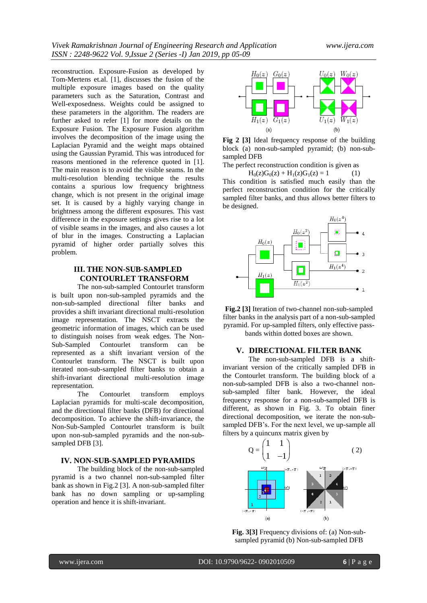reconstruction. Exposure-Fusion as developed by Tom-Mertens et.al. [1], discusses the fusion of the multiple exposure images based on the quality parameters such as the Saturation, Contrast and Well-exposedness. Weights could be assigned to these parameters in the algorithm. The readers are further asked to refer [1] for more details on the Exposure Fusion. The Exposure Fusion algorithm involves the decomposition of the image using the Laplacian Pyramid and the weight maps obtained using the Gaussian Pyramid. This was introduced for reasons mentioned in the reference quoted in [1]. The main reason is to avoid the visible seams. In the multi-resolution blending technique the results contains a spurious low frequency brightness change, which is not present in the original image set. It is caused by a highly varying change in brightness among the different exposures. This vast difference in the exposure settings gives rise to a lot of visible seams in the images, and also causes a lot of blur in the images. Constructing a Laplacian pyramid of higher order partially solves this problem.

### **III. THE NON-SUB-SAMPLED CONTOURLET TRANSFORM**

The non-sub-sampled Contourlet transform is built upon non-sub-sampled pyramids and the non-sub-sampled directional filter banks and provides a shift invariant directional multi-resolution image representation. The NSCT extracts the geometric information of images, which can be used to distinguish noises from weak edges. The Non-Sub-Sampled Contourlet transform can be represented as a shift invariant version of the Contourlet transform. The NSCT is built upon iterated non-sub-sampled filter banks to obtain a shift-invariant directional multi-resolution image representation.

The Contourlet transform employs Laplacian pyramids for multi-scale decomposition, and the directional filter banks (DFB) for directional decomposition. To achieve the shift-invariance, the Non-Sub-Sampled Contourlet transform is built upon non-sub-sampled pyramids and the non-subsampled DFB [3].

### **IV. NON-SUB-SAMPLED PYRAMIDS**

The building block of the non-sub-sampled pyramid is a two channel non-sub-sampled filter bank as shown in Fig.2 [3]. A non-sub-sampled filter bank has no down sampling or up-sampling operation and hence it is shift-invariant.



**Fig 2 [3]** Ideal frequency response of the building block (a) non-sub-sampled pyramid; (b) non-subsampled DFB

The perfect reconstruction condition is given as

 $H_0(z)G_0(z) + H_1(z)G_1(z) = 1$  (1)

This condition is satisfied much easily than the perfect reconstruction condition for the critically sampled filter banks, and thus allows better filters to be designed.



**Fig.2 [3]** Iteration of two-channel non-sub-sampled filter banks in the analysis part of a non-sub-sampled pyramid. For up-sampled filters, only effective passbands within dotted boxes are shown.

# **V. DIRECTIONAL FILTER BANK**

The non-sub-sampled DFB is a shiftinvariant version of the critically sampled DFB in the Contourlet transform. The building block of a non-sub-sampled DFB is also a two-channel nonsub-sampled filter bank. However, the ideal frequency response for a non-sub-sampled DFB is different, as shown in Fig. 3. To obtain finer directional decomposition, we iterate the non-subsampled DFB's. For the next level, we up-sample all filters by a quincunx matrix given by



**Fig. 3[3]** Frequency divisions of: (a) Non-subsampled pyramid (b) Non-sub-sampled DFB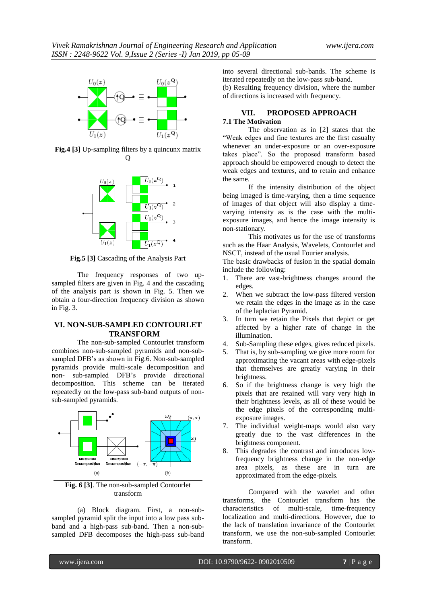

**Fig.4 [3]** Up-sampling filters by a quincunx matrix Q



**Fig.5 [3]** Cascading of the Analysis Part

The frequency responses of two upsampled filters are given in Fig. 4 and the cascading of the analysis part is shown in Fig. 5. Then we obtain a four-direction frequency division as shown in Fig. 3.

## **VI. NON-SUB-SAMPLED CONTOURLET TRANSFORM**

The non-sub-sampled Contourlet transform combines non-sub-sampled pyramids and non-subsampled DFB's as shown in Fig.6. Non-sub-sampled pyramids provide multi-scale decomposition and non- sub-sampled DFB"s provide directional decomposition. This scheme can be iterated repeatedly on the low-pass sub-band outputs of nonsub-sampled pyramids.



**Fig. 6 [3]**. The non-sub-sampled Contourlet transform

(a) Block diagram. First, a non-subsampled pyramid split the input into a low pass subband and a high-pass sub-band. Then a non-subsampled DFB decomposes the high-pass sub-band into several directional sub-bands. The scheme is iterated repeatedly on the low-pass sub-band.

(b) Resulting frequency division, where the number of directions is increased with frequency.

#### **VII. PROPOSED APPROACH 7.1 The Motivation**

The observation as in [2] states that the "Weak edges and fine textures are the first casualty whenever an under-exposure or an over-exposure takes place". So the proposed transform based approach should be empowered enough to detect the weak edges and textures, and to retain and enhance the same.

If the intensity distribution of the object being imaged is time-varying, then a time sequence of images of that object will also display a timevarying intensity as is the case with the multiexposure images, and hence the image intensity is non-stationary.

This motivates us for the use of transforms such as the Haar Analysis, Wavelets, Contourlet and NSCT, instead of the usual Fourier analysis.

The basic drawbacks of fusion in the spatial domain include the following:

- 1. There are vast-brightness changes around the edges.
- 2. When we subtract the low-pass filtered version we retain the edges in the image as in the case of the laplacian Pyramid.
- 3. In turn we retain the Pixels that depict or get affected by a higher rate of change in the illumination.
- 4. Sub-Sampling these edges, gives reduced pixels.
- That is, by sub-sampling we give more room for approximating the vacant areas with edge-pixels that themselves are greatly varying in their brightness.
- 6. So if the brightness change is very high the pixels that are retained will vary very high in their brightness levels, as all of these would be the edge pixels of the corresponding multiexposure images.
- 7. The individual weight-maps would also vary greatly due to the vast differences in the brightness component.
- 8. This degrades the contrast and introduces lowfrequency brightness change in the non-edge area pixels, as these are in turn are approximated from the edge-pixels.

Compared with the wavelet and other transforms, the Contourlet transform has the characteristics of multi-scale, time-frequency localization and multi-directions. However, due to the lack of translation invariance of the Contourlet transform, we use the non-sub-sampled Contourlet transform.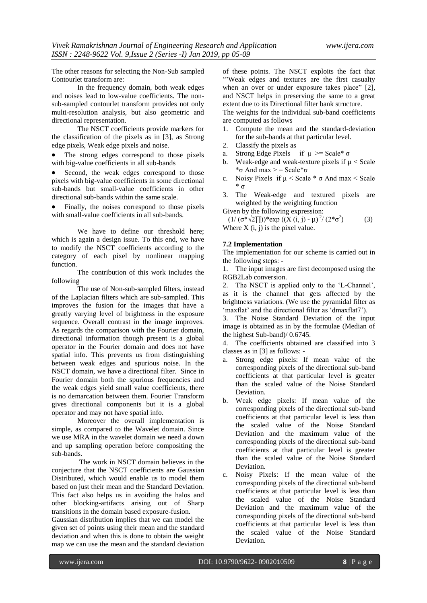The other reasons for selecting the Non-Sub sampled Contourlet transform are:

In the frequency domain, both weak edges and noises lead to low-value coefficients. The nonsub-sampled contourlet transform provides not only multi-resolution analysis, but also geometric and directional representation.

The NSCT coefficients provide markers for the classification of the pixels as in [3], as Strong edge pixels, Weak edge pixels and noise.

 The strong edges correspond to those pixels with big-value coefficients in all sub-bands

 Second, the weak edges correspond to those pixels with big-value coefficients in some directional sub-bands but small-value coefficients in other directional sub-bands within the same scale.

• Finally, the noises correspond to those pixels with small-value coefficients in all sub-bands.

We have to define our threshold here; which is again a design issue. To this end, we have to modify the NSCT coefficients according to the category of each pixel by nonlinear mapping function.

The contribution of this work includes the following

The use of Non-sub-sampled filters, instead of the Laplacian filters which are sub-sampled. This improves the fusion for the images that have a greatly varying level of brightness in the exposure sequence. Overall contrast in the image improves. As regards the comparison with the Fourier domain, directional information though present is a global operator in the Fourier domain and does not have spatial info. This prevents us from distinguishing between weak edges and spurious noise. In the NSCT domain, we have a directional filter. Since in Fourier domain both the spurious frequencies and the weak edges yield small value coefficients, there is no demarcation between them. Fourier Transform gives directional components but it is a global operator and may not have spatial info.

Moreover the overall implementation is simple, as compared to the Wavelet domain. Since we use MRA in the wavelet domain we need a down and up sampling operation before compositing the sub-bands.

The work in NSCT domain believes in the conjecture that the NSCT coefficients are Gaussian Distributed, which would enable us to model them based on just their mean and the Standard Deviation. This fact also helps us in avoiding the halos and other blocking-artifacts arising out of Sharp transitions in the domain based exposure-fusion.

Gaussian distribution implies that we can model the given set of points using their mean and the standard deviation and when this is done to obtain the weight map we can use the mean and the standard deviation

of these points. The NSCT exploits the fact that ""Weak edges and textures are the first casualty when an over or under exposure takes place" [2], and NSCT helps in preserving the same to a great extent due to its Directional filter bank structure.

The weights for the individual sub-band coefficients are computed as follows

- 1. Compute the mean and the standard-deviation for the sub-bands at that particular level.
- 2. Classify the pixels as
- a. Strong Edge Pixels if  $\mu$  >= Scale\*  $\sigma$
- b. Weak-edge and weak-texture pixels if  $\mu$  < Scale \* $\sigma$  And max > = Scale\* $\sigma$
- c. Noisy Pixels if  $\mu$  < Scale  $*$   $\sigma$  And max < Scale \* σ
- 3. The Weak-edge and textured pixels are weighted by the weighting function

Given by the following expression:

 $(1/(\sigma^* \sqrt{2})))$ \*exp  $((X(i, j) - \mu)^2/(2 \sigma^2)$ ) (3) Where  $X(i, j)$  is the pixel value.

### **7.2 Implementation**

The implementation for our scheme is carried out in the following steps: -

1. The input images are first decomposed using the RGB2Lab conversion.

2. The NSCT is applied only to the "L-Channel", as it is the channel that gets affected by the brightness variations. (We use the pyramidal filter as 'maxflat' and the directional filter as 'dmaxflat7').

3. The Noise Standard Deviation of the input image is obtained as in by the formulae (Median of the highest Sub-band)/ 0.6745.

4. The coefficients obtained are classified into 3 classes as in [3] as follows: -

- a. Strong edge pixels: If mean value of the corresponding pixels of the directional sub-band coefficients at that particular level is greater than the scaled value of the Noise Standard Deviation.
- b. Weak edge pixels: If mean value of the corresponding pixels of the directional sub-band coefficients at that particular level is less than the scaled value of the Noise Standard Deviation and the maximum value of the corresponding pixels of the directional sub-band coefficients at that particular level is greater than the scaled value of the Noise Standard Deviation.
- c. Noisy Pixels: If the mean value of the corresponding pixels of the directional sub-band coefficients at that particular level is less than the scaled value of the Noise Standard Deviation and the maximum value of the corresponding pixels of the directional sub-band coefficients at that particular level is less than the scaled value of the Noise Standard Deviation.